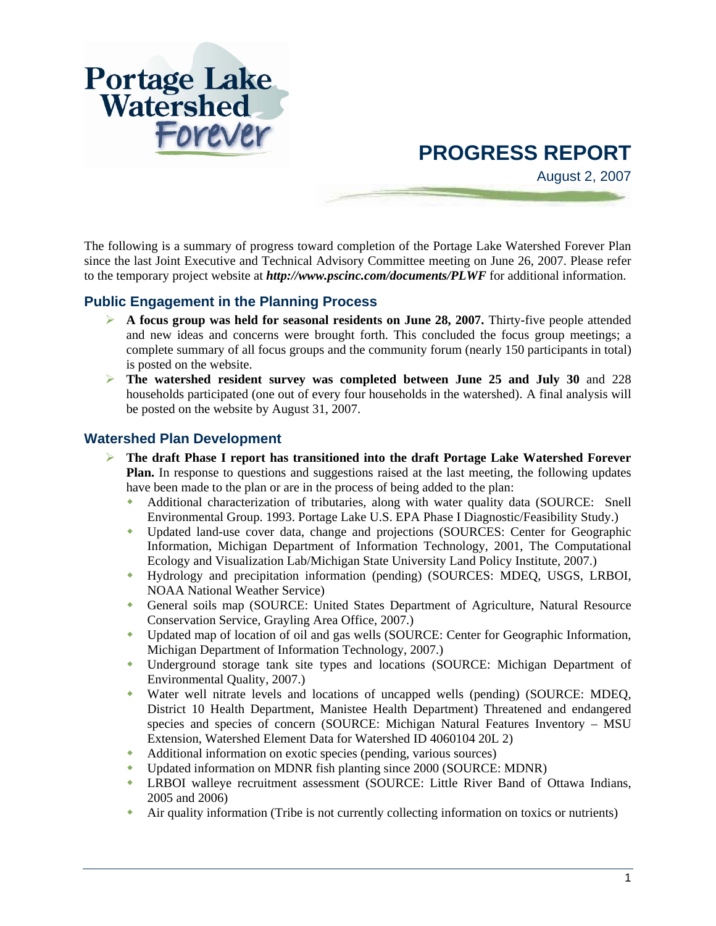

# **PROGRESS REPORT**

August 2, 2007

The following is a summary of progress toward completion of the Portage Lake Watershed Forever Plan since the last Joint Executive and Technical Advisory Committee meeting on June 26, 2007. Please refer to the temporary project website at *http://www.pscinc.com/documents/PLWF* for additional information.

### **Public Engagement in the Planning Process**

- **EXECUTE:** A focus group was held for seasonal residents on June 28, 2007. Thirty-five people attended and new ideas and concerns were brought forth. This concluded the focus group meetings; a complete summary of all focus groups and the community forum (nearly 150 participants in total) is posted on the website.
- ¾ **The watershed resident survey was completed between June 25 and July 30** and 228 households participated (one out of every four households in the watershed). A final analysis will be posted on the website by August 31, 2007.

### **Watershed Plan Development**

- ¾ **The draft Phase I report has transitioned into the draft Portage Lake Watershed Forever Plan.** In response to questions and suggestions raised at the last meeting, the following updates have been made to the plan or are in the process of being added to the plan:
	- Additional characterization of tributaries, along with water quality data (SOURCE: Snell Environmental Group. 1993. Portage Lake U.S. EPA Phase I Diagnostic/Feasibility Study.)
	- Updated land-use cover data, change and projections (SOURCES: Center for Geographic Information, Michigan Department of Information Technology, 2001, The Computational Ecology and Visualization Lab/Michigan State University Land Policy Institute, 2007.)
	- Hydrology and precipitation information (pending) (SOURCES: MDEQ, USGS, LRBOI, NOAA National Weather Service)
	- General soils map (SOURCE: United States Department of Agriculture, Natural Resource Conservation Service, Grayling Area Office, 2007.)
	- Updated map of location of oil and gas wells (SOURCE: Center for Geographic Information, Michigan Department of Information Technology, 2007.)
	- Underground storage tank site types and locations (SOURCE: Michigan Department of Environmental Quality, 2007.)
	- Water well nitrate levels and locations of uncapped wells (pending) (SOURCE: MDEQ, District 10 Health Department, Manistee Health Department) Threatened and endangered species and species of concern (SOURCE: Michigan Natural Features Inventory – MSU Extension, Watershed Element Data for Watershed ID 4060104 20L 2)
	- Additional information on exotic species (pending, various sources)
	- Updated information on MDNR fish planting since 2000 (SOURCE: MDNR)
	- LRBOI walleye recruitment assessment (SOURCE: Little River Band of Ottawa Indians, 2005 and 2006)
	- Air quality information (Tribe is not currently collecting information on toxics or nutrients)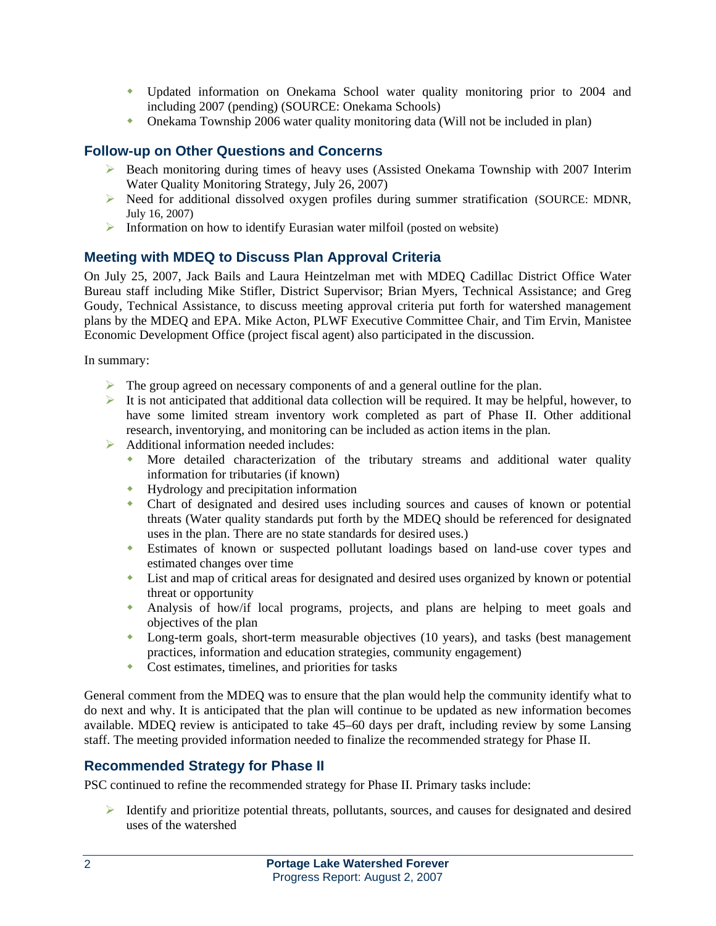- Updated information on Onekama School water quality monitoring prior to 2004 and including 2007 (pending) (SOURCE: Onekama Schools)
- Onekama Township 2006 water quality monitoring data (Will not be included in plan)

### **Follow-up on Other Questions and Concerns**

- $\triangleright$  Beach monitoring during times of heavy uses (Assisted Onekama Township with 2007 Interim Water Quality Monitoring Strategy, July 26, 2007)
- ¾ Need for additional dissolved oxygen profiles during summer stratification (SOURCE: MDNR, July 16, 2007)
- $\triangleright$  Information on how to identify Eurasian water milfoil (posted on website)

# **Meeting with MDEQ to Discuss Plan Approval Criteria**

On July 25, 2007, Jack Bails and Laura Heintzelman met with MDEQ Cadillac District Office Water Bureau staff including Mike Stifler, District Supervisor; Brian Myers, Technical Assistance; and Greg Goudy, Technical Assistance, to discuss meeting approval criteria put forth for watershed management plans by the MDEQ and EPA. Mike Acton, PLWF Executive Committee Chair, and Tim Ervin, Manistee Economic Development Office (project fiscal agent) also participated in the discussion.

In summary:

- $\triangleright$  The group agreed on necessary components of and a general outline for the plan.
- $\blacktriangleright$  It is not anticipated that additional data collection will be required. It may be helpful, however, to have some limited stream inventory work completed as part of Phase II. Other additional research, inventorying, and monitoring can be included as action items in the plan.
- $\triangleright$  Additional information needed includes:
	- More detailed characterization of the tributary streams and additional water quality information for tributaries (if known)
	- Hydrology and precipitation information
	- Chart of designated and desired uses including sources and causes of known or potential threats (Water quality standards put forth by the MDEQ should be referenced for designated uses in the plan. There are no state standards for desired uses.)
	- Estimates of known or suspected pollutant loadings based on land-use cover types and estimated changes over time
	- List and map of critical areas for designated and desired uses organized by known or potential threat or opportunity
	- Analysis of how/if local programs, projects, and plans are helping to meet goals and objectives of the plan
	- Long-term goals, short-term measurable objectives (10 years), and tasks (best management practices, information and education strategies, community engagement)
	- Cost estimates, timelines, and priorities for tasks

General comment from the MDEQ was to ensure that the plan would help the community identify what to do next and why. It is anticipated that the plan will continue to be updated as new information becomes available. MDEQ review is anticipated to take 45–60 days per draft, including review by some Lansing staff. The meeting provided information needed to finalize the recommended strategy for Phase II.

# **Recommended Strategy for Phase II**

PSC continued to refine the recommended strategy for Phase II. Primary tasks include:

¾ Identify and prioritize potential threats, pollutants, sources, and causes for designated and desired uses of the watershed